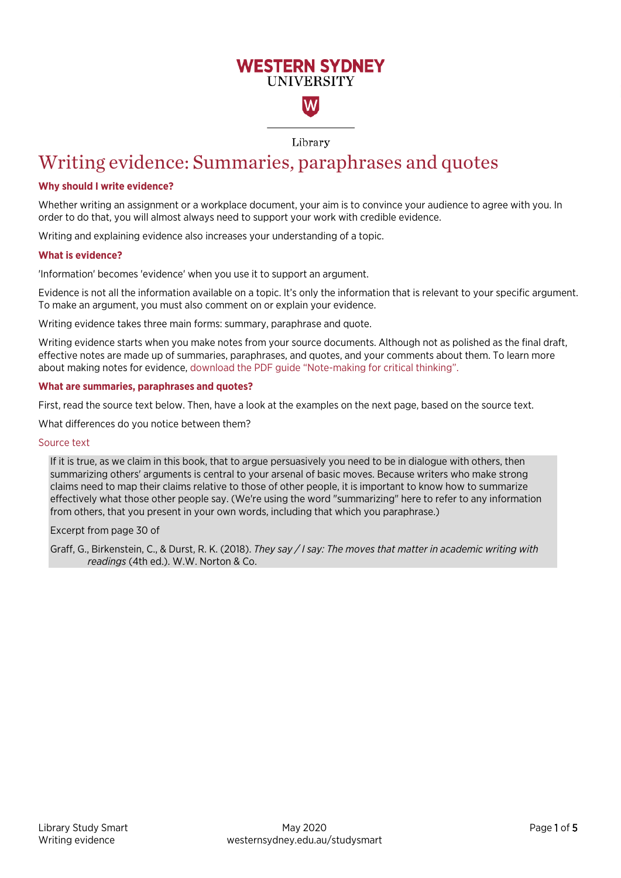## **WESTERN SYDNEY IINIVERSITY**

W

Library

# Writing evidence: Summaries, paraphrases and quotes

#### **Why should I write evidence?**

Whether writing an assignment or a workplace document, your aim is to convince your audience to agree with you. In order to do that, you will almost always need to support your work with credible evidence.

Writing and explaining evidence also increases your understanding of a topic.

#### **What is evidence?**

'Information' becomes 'evidence' when you use it to support an argument.

Evidence is not all the information available on a topic. It's only the information that is relevant to your specific argument. To make an argument, you must also comment on or explain your evidence.

Writing evidence takes three main forms: summary, paraphrase and quote.

Writing evidence starts when you make notes from your source documents. Although not as polished as the final draft, effective notes are made up of summaries, paraphrases, and quotes, and your comments about them. To learn more about making notes for evidence, download [the PDF guide "Note-making for critical thinking".](https://www.westernsydney.edu.au/__data/assets/pdf_file/0006/1251681/Note-making_for_critical_thinking.pdf)

#### **What are summaries, paraphrases and quotes?**

First, read the source text below. Then, have a look at the examples on the next page, based on the source text.

What differences do you notice between them?

#### Source text

If it is true, as we claim in this book, that to argue persuasively you need to be in dialogue with others, then summarizing others' arguments is central to your arsenal of basic moves. Because writers who make strong claims need to map their claims relative to those of other people, it is important to know how to summarize effectively what those other people say. (We're using the word "summarizing" here to refer to any information from others, that you present in your own words, including that which you paraphrase.)

Excerpt from page 30 of

Graff, G., Birkenstein, C., & Durst, R. K. (2018). *They say / I say: The moves that matter in academic writing with readings* (4th ed.). W.W. Norton & Co.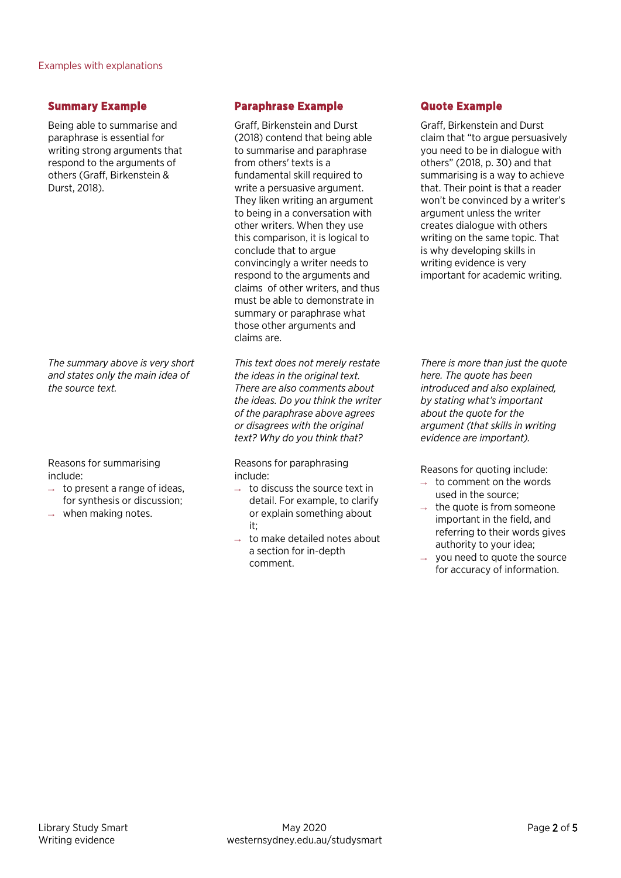## **Summary Example**

Being able to summarise and paraphrase is essential for writing strong arguments that respond to the arguments of others (Graff, Birkenstein & Durst, 2018).

*The summary above is very short and states only the main idea of the source text.*

Reasons for summarising include:

- $\rightarrow$  to present a range of ideas, for synthesis or discussion;
- when making notes.

## **Paraphrase Example**

Graff, Birkenstein and Durst (2018) contend that being able to summarise and paraphrase from others' texts is a fundamental skill required to write a persuasive argument. They liken writing an argument to being in a conversation with other writers. When they use this comparison, it is logical to conclude that to argue convincingly a writer needs to respond to the arguments and claims of other writers, and thus must be able to demonstrate in summary or paraphrase what those other arguments and claims are.

*This text does not merely restate the ideas in the original text. There are also comments about the ideas. Do you think the writer of the paraphrase above agrees or disagrees with the original text? Why do you think that?*

Reasons for paraphrasing include:

- $\rightarrow$  to discuss the source text in detail. For example, to clarify or explain something about it;
- $\rightarrow$  to make detailed notes about a section for in-depth comment.

## **Quote Example**

Graff, Birkenstein and Durst claim that "to argue persuasively you need to be in dialogue with others" (2018, p. 30) and that summarising is a way to achieve that. Their point is that a reader won't be convinced by a writer's argument unless the writer creates dialogue with others writing on the same topic. That is why developing skills in writing evidence is very important for academic writing.

*There is more than just the quote here. The quote has been introduced and also explained, by stating what's important about the quote for the argument (that skills in writing evidence are important).*

Reasons for quoting include:

- $\rightarrow$  to comment on the words used in the source;
- $\rightarrow$  the quote is from someone important in the field, and referring to their words gives authority to your idea;
- you need to quote the source for accuracy of information.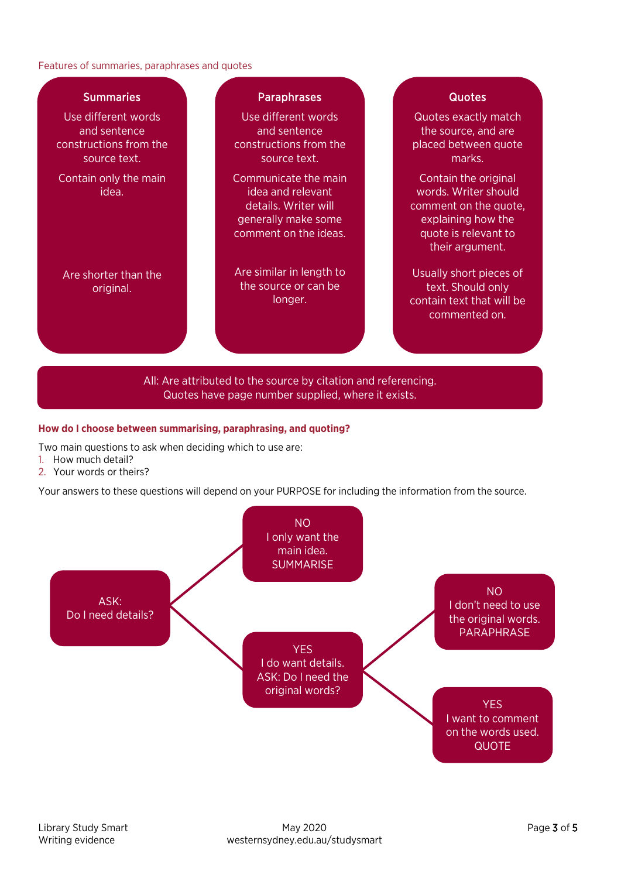#### Features of summaries, paraphrases and quotes



#### **How do I choose between summarising, paraphrasing, and quoting?**

Two main questions to ask when deciding which to use are:

- 1. How much detail?
- 2. Your words or theirs?

Your answers to these questions will depend on your PURPOSE for including the information from the source.

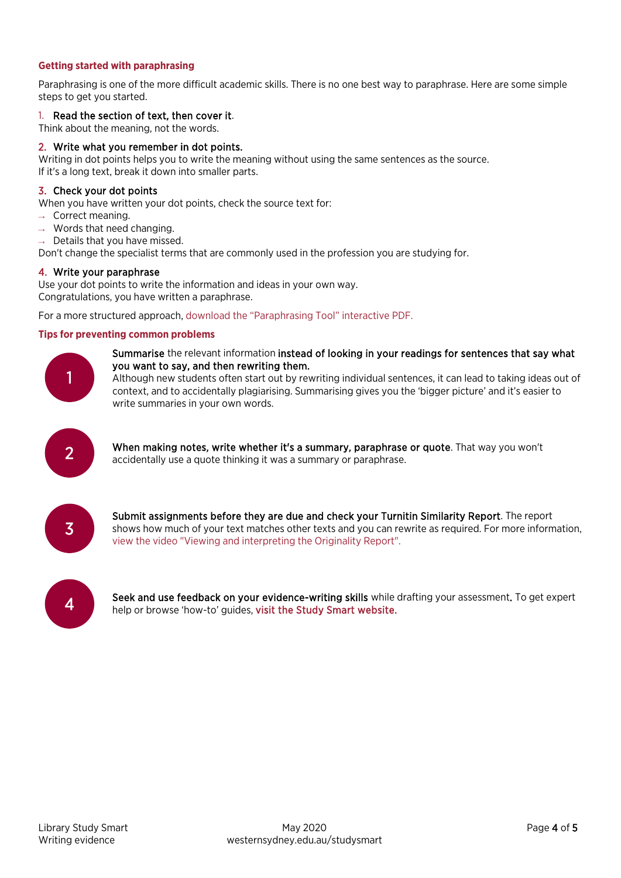### **Getting started with paraphrasing**

Paraphrasing is one of the more difficult academic skills. There is no one best way to paraphrase. Here are some simple steps to get you started.

## 1. Read the section of text, then cover it.

Think about the meaning, not the words.

## 2. Write what you remember in dot points.

Writing in dot points helps you to write the meaning without using the same sentences as the source. If it's a long text, break it down into smaller parts.

## 3. Check your dot points

When you have written your dot points, check the source text for:

- $\rightarrow$  Correct meaning.
- $\rightarrow$  Words that need changing.

 $\rightarrow$  Details that you have missed.

Don't change the specialist terms that are commonly used in the profession you are studying for.

#### 4. Write your paraphrase

Use your dot points to write the information and ideas in your own way. Congratulations, you have written a paraphrase.

For a more structured approach, download [the "Paraphrasing Tool" interactive PDF.](https://www.westernsydney.edu.au/__data/assets/pdf_file/0007/1641139/Paraphrasing_tool_and_example.pdf)

#### **Tips for preventing common problems**



Summarise the relevant information instead of looking in your readings for sentences that say what you want to say, and then rewriting them.

Although new students often start out by rewriting individual sentences, it can lead to taking ideas out of context, and to accidentally plagiarising. Summarising gives you the 'bigger picture' and it's easier to write summaries in your own words.



**2** When making notes, write whether it's a summary, paraphrase or quote. That way you won't accidentally use a quote thinking it was a summary or paraphrase.



Submit assignments before they are due and check your Turnitin Similarity Report. The report shows how much of your text matches other texts and you can rewrite as required. For more information, view [the video "Viewing and interpreting the Originality Report".](https://youtu.be/MBCyWBAagpA) 



**4** Seek and use feedback on your evidence-writing skills while drafting your assessment. To get expert help or browse 'how-to' guides, [visit the Study Smart website.](https://westernsydney.edu.au/studysmart)